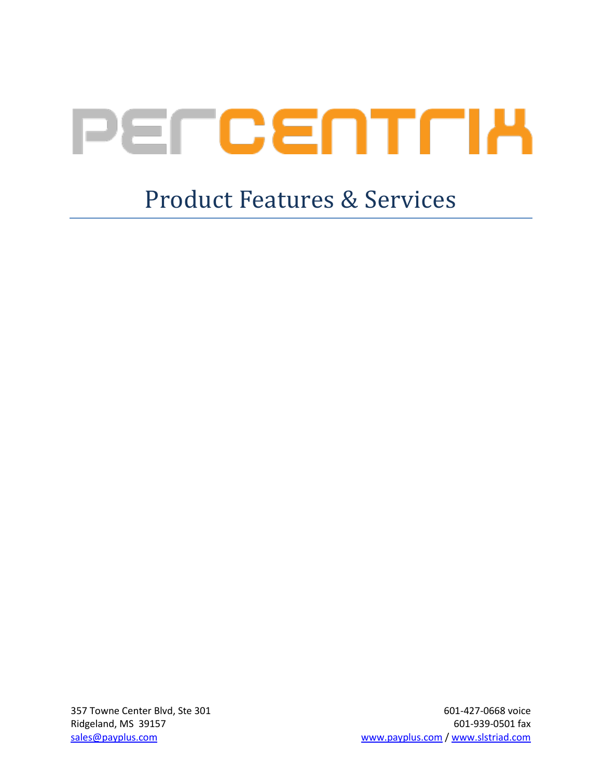# PELCEULH

# Product Features & Services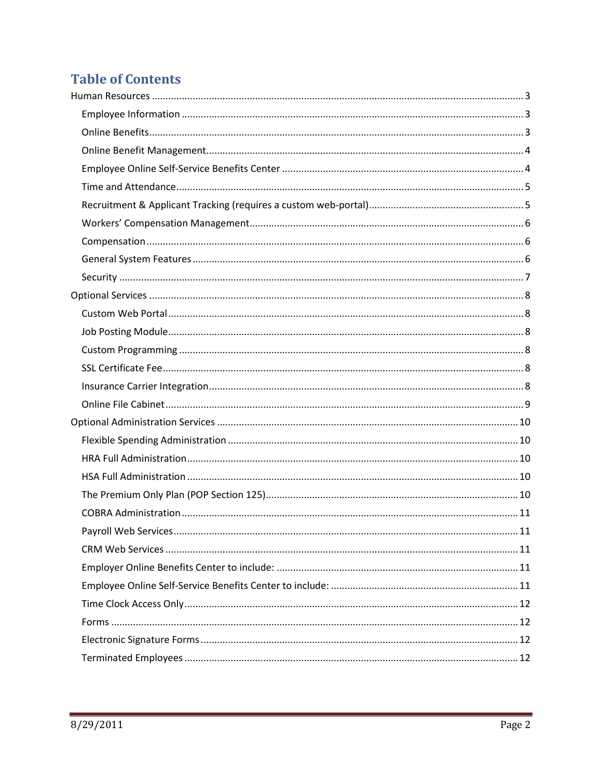# **Table of Contents**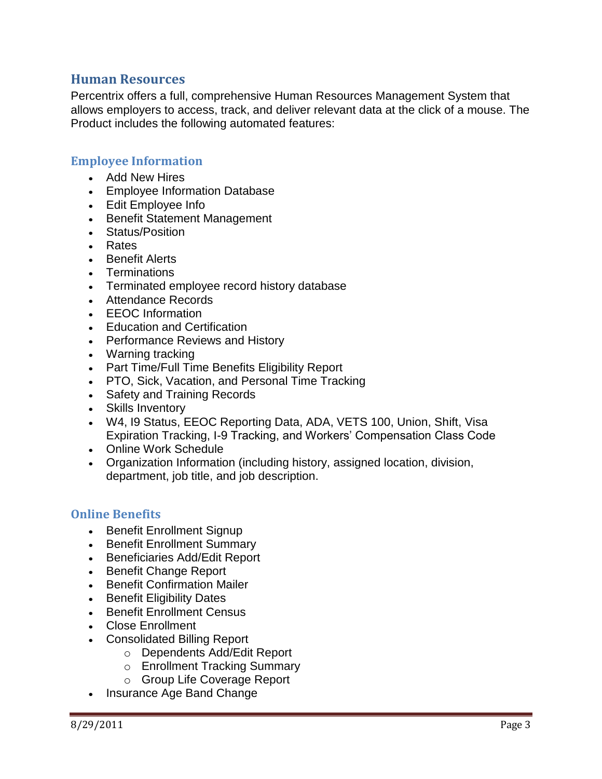#### <span id="page-2-0"></span>**Human Resources**

Percentrix offers a full, comprehensive Human Resources Management System that allows employers to access, track, and deliver relevant data at the click of a mouse. The Product includes the following automated features:

#### <span id="page-2-1"></span>**Employee Information**

- Add New Hires
- Employee Information Database
- Edit Employee Info
- Benefit Statement Management
- Status/Position
- Rates
- Benefit Alerts
- **Terminations**
- Terminated employee record history database
- Attendance Records
- EEOC Information
- Education and Certification
- Performance Reviews and History
- Warning tracking
- Part Time/Full Time Benefits Eligibility Report
- PTO, Sick, Vacation, and Personal Time Tracking
- Safety and Training Records
- Skills Inventory
- W4, I9 Status, EEOC Reporting Data, ADA, VETS 100, Union, Shift, Visa Expiration Tracking, I-9 Tracking, and Workers' Compensation Class Code
- Online Work Schedule
- Organization Information (including history, assigned location, division, department, job title, and job description.

#### <span id="page-2-2"></span>**Online Benefits**

- Benefit Enrollment Signup
- Benefit Enrollment Summary
- **-** Beneficiaries Add/Edit Report
- Benefit Change Report
- Benefit Confirmation Mailer
- Benefit Eligibility Dates
- Benefit Enrollment Census
- Close Enrollment
- Consolidated Billing Report
	- o Dependents Add/Edit Report
	- o Enrollment Tracking Summary
	- o Group Life Coverage Report
- Insurance Age Band Change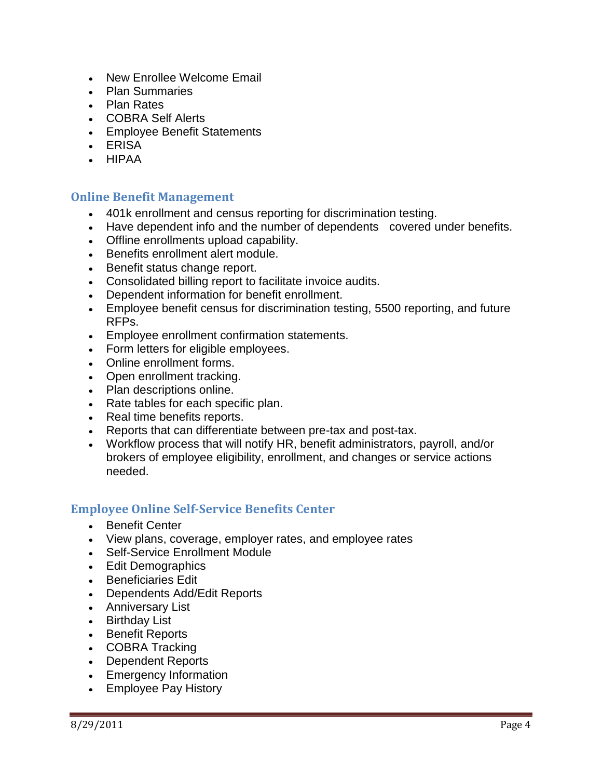- New Enrollee Welcome Email
- Plan Summaries
- Plan Rates
- COBRA Self Alerts
- Employee Benefit Statements
- ERISA
- HIPAA

#### <span id="page-3-0"></span>**Online Benefit Management**

- 401k enrollment and census reporting for discrimination testing.
- Have dependent info and the number of dependents covered under benefits.
- Offline enrollments upload capability.
- Benefits enrollment alert module.
- Benefit status change report.
- Consolidated billing report to facilitate invoice audits.
- Dependent information for benefit enrollment.
- Employee benefit census for discrimination testing, 5500 reporting, and future RFPs.
- Employee enrollment confirmation statements.
- Form letters for eligible employees.
- Online enrollment forms.
- Open enrollment tracking.
- Plan descriptions online.
- Rate tables for each specific plan.
- Real time benefits reports.
- Reports that can differentiate between pre-tax and post-tax.
- Workflow process that will notify HR, benefit administrators, payroll, and/or brokers of employee eligibility, enrollment, and changes or service actions needed.

#### <span id="page-3-1"></span>**Employee Online Self-Service Benefits Center**

- Benefit Center
- View plans, coverage, employer rates, and employee rates
- Self-Service Enrollment Module
- Edit Demographics
- **Beneficiaries Fdit**
- Dependents Add/Edit Reports
- Anniversary List
- Birthday List
- Benefit Reports
- COBRA Tracking
- Dependent Reports
- Emergency Information
- Employee Pay History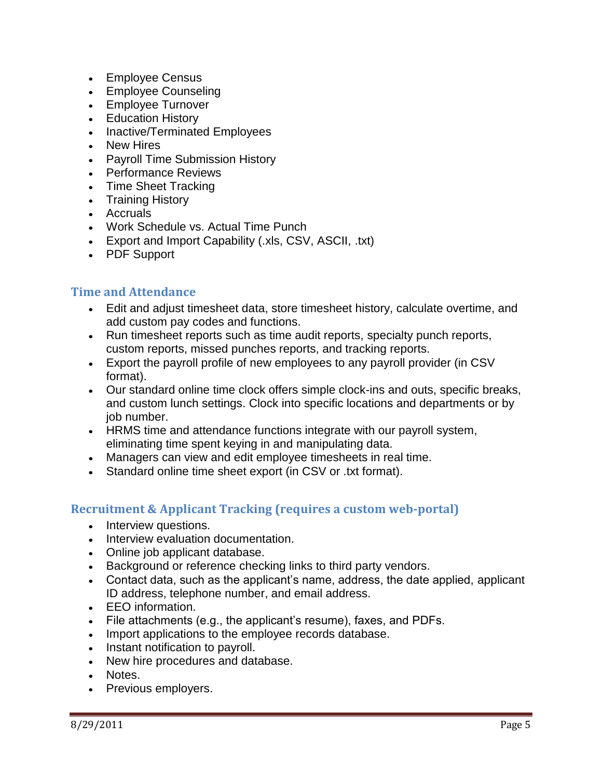- Employee Census
- Employee Counseling
- Employee Turnover
- Education History
- Inactive/Terminated Employees
- New Hires
- Payroll Time Submission History
- Performance Reviews
- Time Sheet Tracking
- Training History
- Accruals
- Work Schedule vs. Actual Time Punch
- Export and Import Capability (.xls, CSV, ASCII, .txt)
- PDF Support

#### <span id="page-4-0"></span>**Time and Attendance**

- Edit and adjust timesheet data, store timesheet history, calculate overtime, and add custom pay codes and functions.
- Run timesheet reports such as time audit reports, specialty punch reports, custom reports, missed punches reports, and tracking reports.
- Export the payroll profile of new employees to any payroll provider (in CSV format).
- Our standard online time clock offers simple clock-ins and outs, specific breaks, and custom lunch settings. Clock into specific locations and departments or by job number.
- HRMS time and attendance functions integrate with our payroll system, eliminating time spent keying in and manipulating data.
- Managers can view and edit employee timesheets in real time.
- Standard online time sheet export (in CSV or .txt format).

#### <span id="page-4-1"></span>**Recruitment & Applicant Tracking (requires a custom web-portal)**

- Interview questions.
- Interview evaluation documentation.
- Online job applicant database.
- Background or reference checking links to third party vendors.
- Contact data, such as the applicant's name, address, the date applied, applicant ID address, telephone number, and email address.
- EEO information.
- File attachments (e.g., the applicant's resume), faxes, and PDFs.
- Import applications to the employee records database.
- Instant notification to payroll.
- New hire procedures and database.
- Notes.
- Previous employers.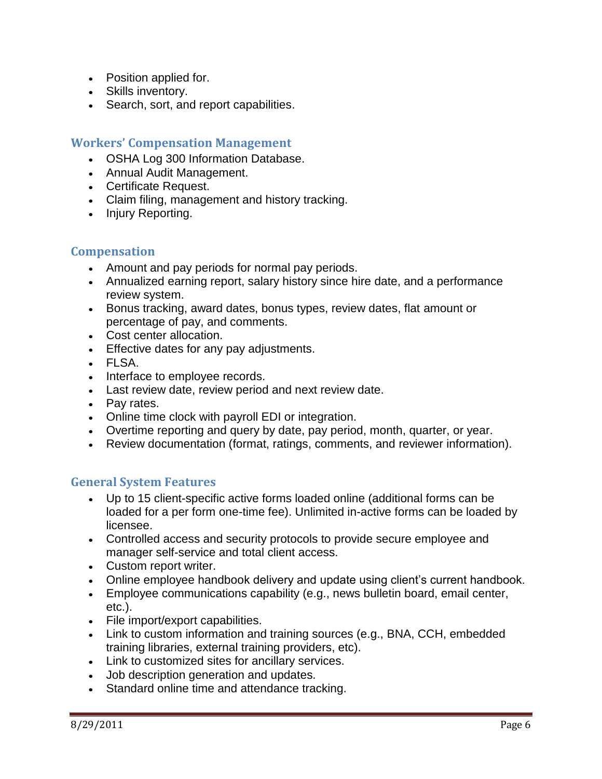- Position applied for.
- Skills inventory.
- Search, sort, and report capabilities.

#### <span id="page-5-0"></span>**Workers' Compensation Management**

- OSHA Log 300 Information Database.
- Annual Audit Management.
- Certificate Request.
- Claim filing, management and history tracking.
- Injury Reporting.

#### <span id="page-5-1"></span>**Compensation**

- Amount and pay periods for normal pay periods.
- Annualized earning report, salary history since hire date, and a performance review system.
- Bonus tracking, award dates, bonus types, review dates, flat amount or percentage of pay, and comments.
- Cost center allocation.
- Effective dates for any pay adjustments.
- FLSA.
- Interface to employee records.
- Last review date, review period and next review date.
- Pay rates.
- Online time clock with payroll EDI or integration.
- Overtime reporting and query by date, pay period, month, quarter, or year.
- Review documentation (format, ratings, comments, and reviewer information).

#### <span id="page-5-2"></span>**General System Features**

- Up to 15 client-specific active forms loaded online (additional forms can be loaded for a per form one-time fee). Unlimited in-active forms can be loaded by licensee.
- Controlled access and security protocols to provide secure employee and manager self-service and total client access.
- Custom report writer.
- Online employee handbook delivery and update using client's current handbook.
- Employee communications capability (e.g., news bulletin board, email center, etc.).
- File import/export capabilities.
- Link to custom information and training sources (e.g., BNA, CCH, embedded training libraries, external training providers, etc).
- Link to customized sites for ancillary services.
- Job description generation and updates.
- Standard online time and attendance tracking.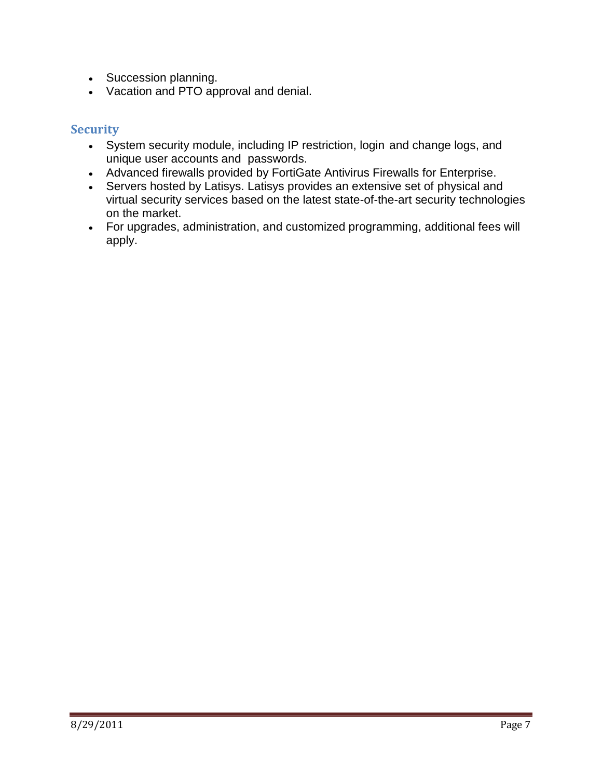- Succession planning.
- Vacation and PTO approval and denial.

#### <span id="page-6-0"></span>**Security**

- System security module, including IP restriction, login and change logs, and unique user accounts and passwords.
- Advanced firewalls provided by FortiGate Antivirus Firewalls for Enterprise.
- Servers hosted by Latisys. Latisys provides an extensive set of physical and virtual security services based on the latest state-of-the-art security technologies on the market.
- For upgrades, administration, and customized programming, additional fees will apply.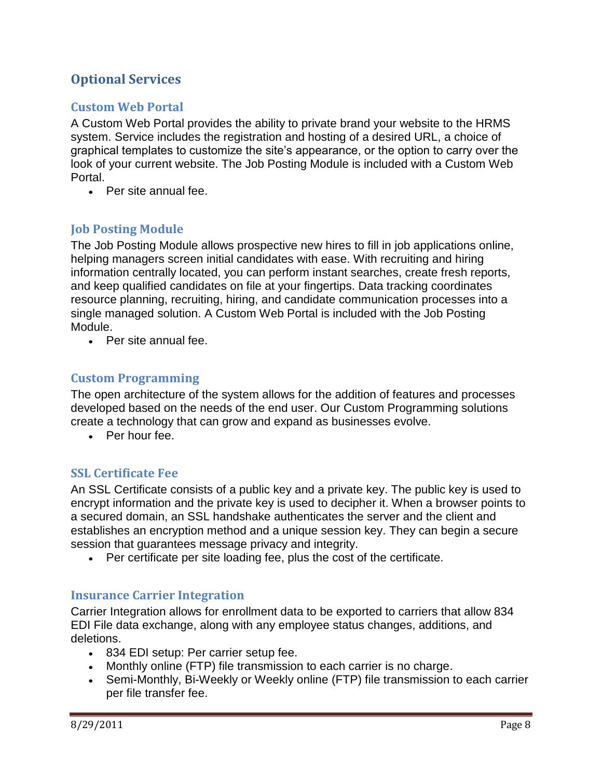## <span id="page-7-0"></span>**Optional Services**

#### <span id="page-7-1"></span>**Custom Web Portal**

A Custom Web Portal provides the ability to private brand your website to the HRMS system. Service includes the registration and hosting of a desired URL, a choice of graphical templates to customize the site's appearance, or the option to carry over the look of your current website. The Job Posting Module is included with a Custom Web Portal.

• Per site annual fee.

#### <span id="page-7-2"></span>**Job Posting Module**

The Job Posting Module allows prospective new hires to fill in job applications online, helping managers screen initial candidates with ease. With recruiting and hiring information centrally located, you can perform instant searches, create fresh reports, and keep qualified candidates on file at your fingertips. Data tracking coordinates resource planning, recruiting, hiring, and candidate communication processes into a single managed solution. A Custom Web Portal is included with the Job Posting Module.

Per site annual fee.

#### <span id="page-7-3"></span>**Custom Programming**

The open architecture of the system allows for the addition of features and processes developed based on the needs of the end user. Our Custom Programming solutions create a technology that can grow and expand as businesses evolve.

• Per hour fee.

#### <span id="page-7-4"></span>**SSL Certificate Fee**

An SSL Certificate consists of a public key and a private key. The public key is used to encrypt information and the private key is used to decipher it. When a browser points to a secured domain, an SSL handshake authenticates the server and the client and establishes an encryption method and a unique session key. They can begin a secure session that guarantees message privacy and integrity.

Per certificate per site loading fee, plus the cost of the certificate.

#### <span id="page-7-5"></span>**Insurance Carrier Integration**

Carrier Integration allows for enrollment data to be exported to carriers that allow 834 EDI File data exchange, along with any employee status changes, additions, and deletions.

- 834 EDI setup: Per carrier setup fee.
- Monthly online (FTP) file transmission to each carrier is no charge.
- Semi-Monthly, Bi-Weekly or Weekly online (FTP) file transmission to each carrier per file transfer fee.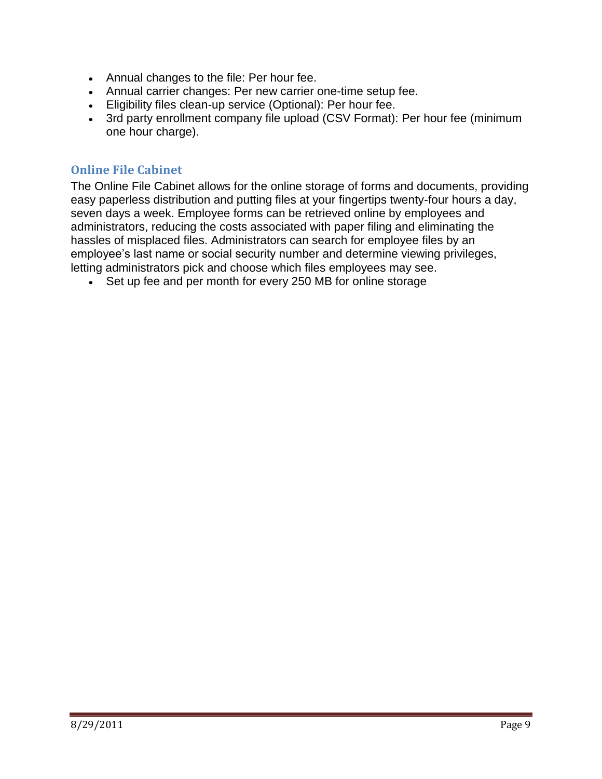- Annual changes to the file: Per hour fee.
- Annual carrier changes: Per new carrier one-time setup fee.
- Eligibility files clean-up service (Optional): Per hour fee.
- 3rd party enrollment company file upload (CSV Format): Per hour fee (minimum one hour charge).

#### <span id="page-8-0"></span>**Online File Cabinet**

The Online File Cabinet allows for the online storage of forms and documents, providing easy paperless distribution and putting files at your fingertips twenty-four hours a day, seven days a week. Employee forms can be retrieved online by employees and administrators, reducing the costs associated with paper filing and eliminating the hassles of misplaced files. Administrators can search for employee files by an employee's last name or social security number and determine viewing privileges, letting administrators pick and choose which files employees may see.

• Set up fee and per month for every 250 MB for online storage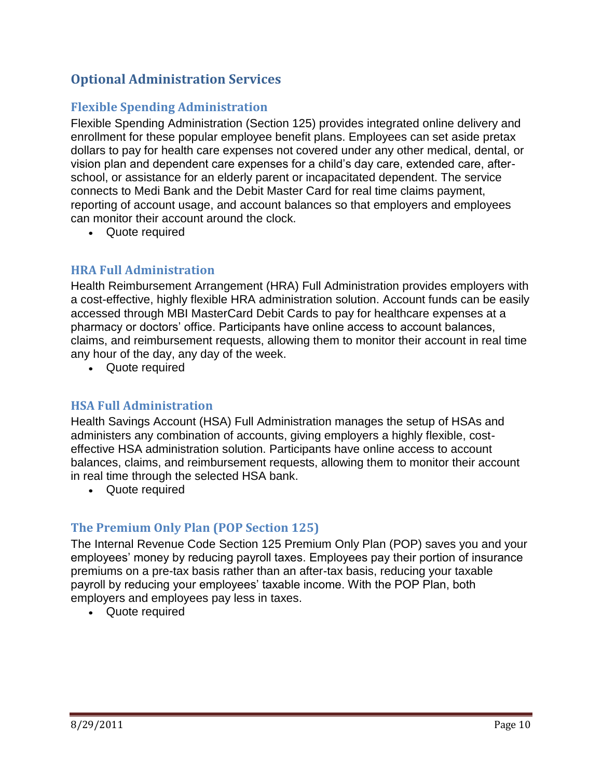## <span id="page-9-0"></span>**Optional Administration Services**

#### <span id="page-9-1"></span>**Flexible Spending Administration**

Flexible Spending Administration (Section 125) provides integrated online delivery and enrollment for these popular employee benefit plans. Employees can set aside pretax dollars to pay for health care expenses not covered under any other medical, dental, or vision plan and dependent care expenses for a child's day care, extended care, afterschool, or assistance for an elderly parent or incapacitated dependent. The service connects to Medi Bank and the Debit Master Card for real time claims payment, reporting of account usage, and account balances so that employers and employees can monitor their account around the clock.

Quote required

#### <span id="page-9-2"></span>**HRA Full Administration**

Health Reimbursement Arrangement (HRA) Full Administration provides employers with a cost-effective, highly flexible HRA administration solution. Account funds can be easily accessed through MBI MasterCard Debit Cards to pay for healthcare expenses at a pharmacy or doctors' office. Participants have online access to account balances, claims, and reimbursement requests, allowing them to monitor their account in real time any hour of the day, any day of the week.

Quote required

#### <span id="page-9-3"></span>**HSA Full Administration**

Health Savings Account (HSA) Full Administration manages the setup of HSAs and administers any combination of accounts, giving employers a highly flexible, costeffective HSA administration solution. Participants have online access to account balances, claims, and reimbursement requests, allowing them to monitor their account in real time through the selected HSA bank.

Quote required

#### <span id="page-9-4"></span>**The Premium Only Plan (POP Section 125)**

The Internal Revenue Code Section 125 Premium Only Plan (POP) saves you and your employees' money by reducing payroll taxes. Employees pay their portion of insurance premiums on a pre-tax basis rather than an after-tax basis, reducing your taxable payroll by reducing your employees' taxable income. With the POP Plan, both employers and employees pay less in taxes.

Quote required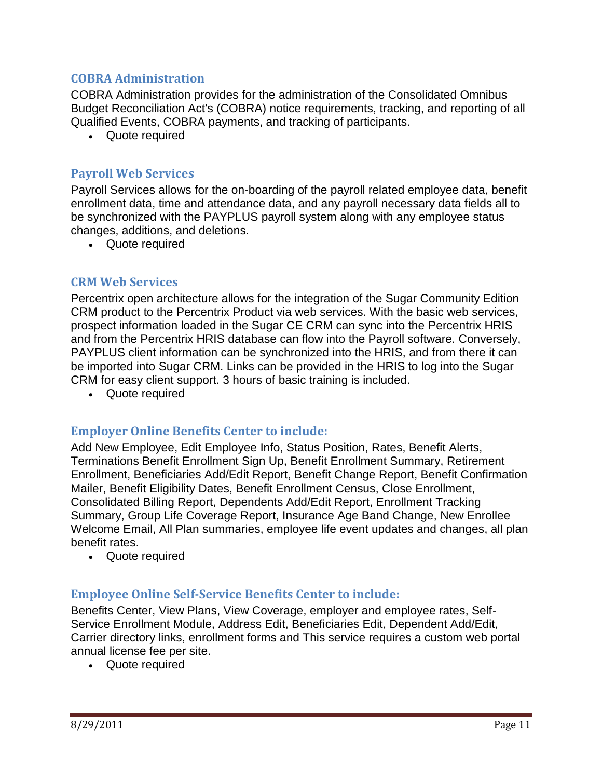#### <span id="page-10-0"></span>**COBRA Administration**

COBRA Administration provides for the administration of the Consolidated Omnibus Budget Reconciliation Act's (COBRA) notice requirements, tracking, and reporting of all Qualified Events, COBRA payments, and tracking of participants.

Quote required

#### <span id="page-10-1"></span>**Payroll Web Services**

Payroll Services allows for the on-boarding of the payroll related employee data, benefit enrollment data, time and attendance data, and any payroll necessary data fields all to be synchronized with the PAYPLUS payroll system along with any employee status changes, additions, and deletions.

Quote required

#### <span id="page-10-2"></span>**CRM Web Services**

Percentrix open architecture allows for the integration of the Sugar Community Edition CRM product to the Percentrix Product via web services. With the basic web services, prospect information loaded in the Sugar CE CRM can sync into the Percentrix HRIS and from the Percentrix HRIS database can flow into the Payroll software. Conversely, PAYPLUS client information can be synchronized into the HRIS, and from there it can be imported into Sugar CRM. Links can be provided in the HRIS to log into the Sugar CRM for easy client support. 3 hours of basic training is included.

Quote required

#### <span id="page-10-3"></span>**Employer Online Benefits Center to include:**

Add New Employee, Edit Employee Info, Status Position, Rates, Benefit Alerts, Terminations Benefit Enrollment Sign Up, Benefit Enrollment Summary, Retirement Enrollment, Beneficiaries Add/Edit Report, Benefit Change Report, Benefit Confirmation Mailer, Benefit Eligibility Dates, Benefit Enrollment Census, Close Enrollment, Consolidated Billing Report, Dependents Add/Edit Report, Enrollment Tracking Summary, Group Life Coverage Report, Insurance Age Band Change, New Enrollee Welcome Email, All Plan summaries, employee life event updates and changes, all plan benefit rates.

Quote required

#### <span id="page-10-4"></span>**Employee Online Self-Service Benefits Center to include:**

Benefits Center, View Plans, View Coverage, employer and employee rates, Self-Service Enrollment Module, Address Edit, Beneficiaries Edit, Dependent Add/Edit, Carrier directory links, enrollment forms and This service requires a custom web portal annual license fee per site.

Quote required